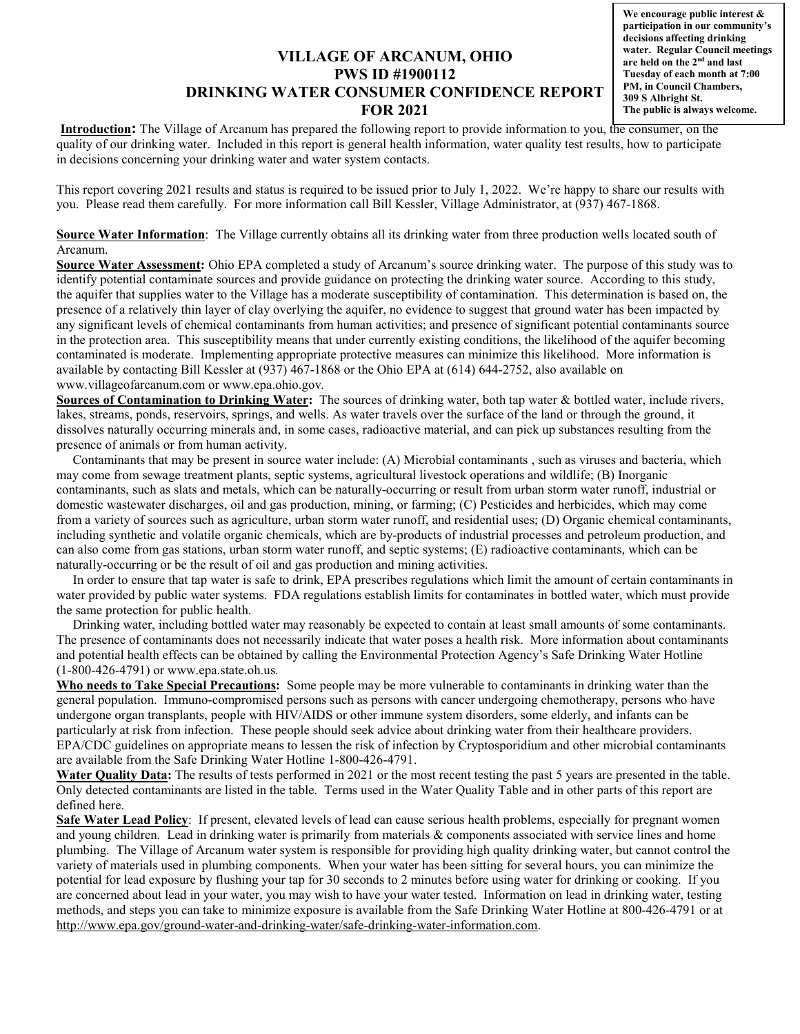## **VILLAGE OF ARCANUM, OHIO PWS ID #1900112 DRINKING WATER CONSUMER CONFIDENCE REPORT FOR 2021**

**We encourage public interest & participation in our community's decisions affecting drinking water. Regular Council meetings are held on the 2nd and last Tuesday of each month at 7:00 PM, in Council Chambers, 309 S Albright St. The public is always welcome.**

**Introduction:** The Village of Arcanum has prepared the following report to provide information to you, the consumer, on the quality of our drinking water. Included in this report is general health information, water quality test results, how to participate in decisions concerning your drinking water and water system contacts.

This report covering 2021 results and status is required to be issued prior to July 1, 2022. We're happy to share our results with you. Please read them carefully. For more information call Bill Kessler, Village Administrator, at (937) 467-1868.

**Source Water Information**: The Village currently obtains all its drinking water from three production wells located south of Arcanum.

**Source Water Assessment:** Ohio EPA completed a study of Arcanum's source drinking water. The purpose of this study was to identify potential contaminate sources and provide guidance on protecting the drinking water source. According to this study, the aquifer that supplies water to the Village has a moderate susceptibility of contamination. This determination is based on, the presence of a relatively thin layer of clay overlying the aquifer, no evidence to suggest that ground water has been impacted by any significant levels of chemical contaminants from human activities; and presence of significant potential contaminants source in the protection area. This susceptibility means that under currently existing conditions, the likelihood of the aquifer becoming contaminated is moderate. Implementing appropriate protective measures can minimize this likelihood. More information is available by contacting Bill Kessler at (937) 467-1868 or the Ohio EPA at (614) 644-2752, also available on www.villageofarcanum.com or www.epa.ohio.gov*.*

**Sources of Contamination to Drinking Water:** The sources of drinking water, both tap water & bottled water, include rivers, lakes, streams, ponds, reservoirs, springs, and wells. As water travels over the surface of the land or through the ground, it dissolves naturally occurring minerals and, in some cases, radioactive material, and can pick up substances resulting from the presence of animals or from human activity.

 Contaminants that may be present in source water include: (A) Microbial contaminants , such as viruses and bacteria, which may come from sewage treatment plants, septic systems, agricultural livestock operations and wildlife; (B) Inorganic contaminants, such as slats and metals, which can be naturally-occurring or result from urban storm water runoff, industrial or domestic wastewater discharges, oil and gas production, mining, or farming; (C) Pesticides and herbicides, which may come from a variety of sources such as agriculture, urban storm water runoff, and residential uses; (D) Organic chemical contaminants, including synthetic and volatile organic chemicals, which are by-products of industrial processes and petroleum production, and can also come from gas stations, urban storm water runoff, and septic systems; (E) radioactive contaminants, which can be naturally-occurring or be the result of oil and gas production and mining activities.

 In order to ensure that tap water is safe to drink, EPA prescribes regulations which limit the amount of certain contaminants in water provided by public water systems. FDA regulations establish limits for contaminates in bottled water, which must provide the same protection for public health.

 Drinking water, including bottled water may reasonably be expected to contain at least small amounts of some contaminants. The presence of contaminants does not necessarily indicate that water poses a health risk. More information about contaminants and potential health effects can be obtained by calling the Environmental Protection Agency's Safe Drinking Water Hotline (1-800-426-4791) or www.epa.state.oh.us*.*

**Who needs to Take Special Precautions:** Some people may be more vulnerable to contaminants in drinking water than the general population. Immuno-compromised persons such as persons with cancer undergoing chemotherapy, persons who have undergone organ transplants, people with HIV/AIDS or other immune system disorders, some elderly, and infants can be particularly at risk from infection. These people should seek advice about drinking water from their healthcare providers. EPA/CDC guidelines on appropriate means to lessen the risk of infection by Cryptosporidium and other microbial contaminants are available from the Safe Drinking Water Hotline 1-800-426-4791.

**Water Quality Data:** The results of tests performed in 2021 or the most recent testing the past 5 years are presented in the table. Only detected contaminants are listed in the table. Terms used in the Water Quality Table and in other parts of this report are defined here.

**Safe Water Lead Policy**: If present, elevated levels of lead can cause serious health problems, especially for pregnant women and young children. Lead in drinking water is primarily from materials & components associated with service lines and home plumbing. The Village of Arcanum water system is responsible for providing high quality drinking water, but cannot control the variety of materials used in plumbing components. When your water has been sitting for several hours, you can minimize the potential for lead exposure by flushing your tap for 30 seconds to 2 minutes before using water for drinking or cooking. If you are concerned about lead in your water, you may wish to have your water tested. Information on lead in drinking water, testing methods, and steps you can take to minimize exposure is available from the Safe Drinking Water Hotline at 800-426-4791 or at http://www.epa.gov/ground-water-and-drinking-water/safe-drinking-water-information.com.